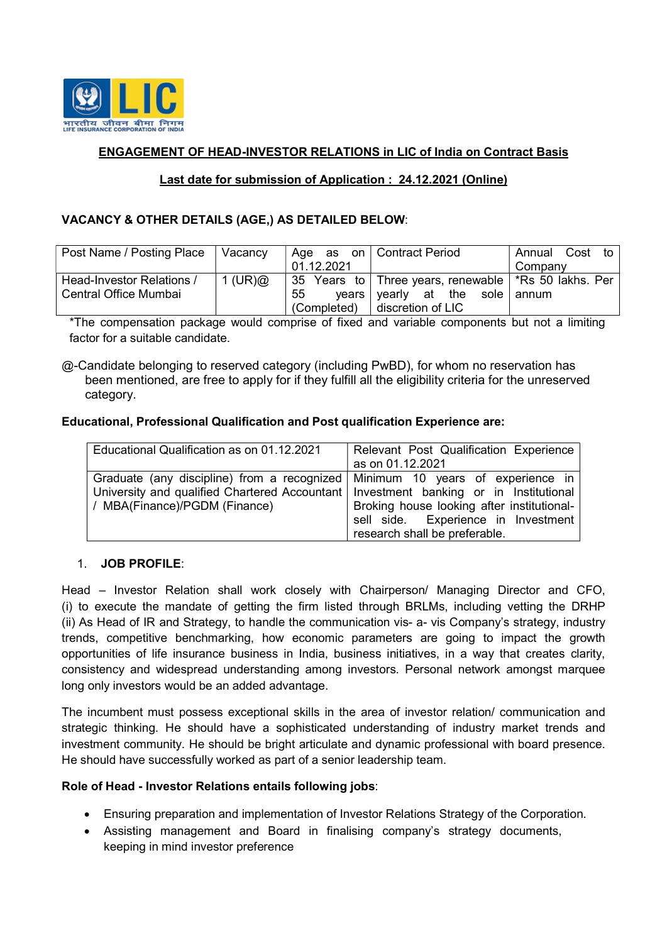

# ENGAGEMENT OF HEAD-INVESTOR RELATIONS in LIC of India on Contract Basis

## Last date for submission of Application : 24.12.2021 (Online)

## VACANCY & OTHER DETAILS (AGE,) AS DETAILED BELOW:

| Post Name / Posting Place | Vacancy    |             | Age as on Contract Period                                | Annual Cost<br>to |
|---------------------------|------------|-------------|----------------------------------------------------------|-------------------|
|                           |            | 01.12.2021  |                                                          | Company           |
| Head-Investor Relations / | 1 (UR) $@$ |             | 35 Years to   Three years, renewable   *Rs 50 lakhs. Per |                   |
| Central Office Mumbai     |            | 55          | $years$ vearly at the sole annum                         |                   |
|                           |            | (Completed) | discretion of LIC                                        |                   |

\*The compensation package would comprise of fixed and variable components but not a limiting factor for a suitable candidate.

@-Candidate belonging to reserved category (including PwBD), for whom no reservation has been mentioned, are free to apply for if they fulfill all the eligibility criteria for the unreserved category.

## Educational, Professional Qualification and Post qualification Experience are:

| Educational Qualification as on 01.12.2021                                             | Relevant Post Qualification Experience     |
|----------------------------------------------------------------------------------------|--------------------------------------------|
|                                                                                        | as on 01.12.2021                           |
| Graduate (any discipline) from a recognized Minimum 10 years of experience in          |                                            |
| University and qualified Chartered Accountant   Investment banking or in Institutional |                                            |
| / MBA(Finance)/PGDM (Finance)                                                          | Broking house looking after institutional- |
|                                                                                        | sell side. Experience in Investment        |
|                                                                                        | research shall be preferable.              |

## 1. JOB PROFILE:

Head – Investor Relation shall work closely with Chairperson/ Managing Director and CFO, (i) to execute the mandate of getting the firm listed through BRLMs, including vetting the DRHP (ii) As Head of IR and Strategy, to handle the communication vis- a- vis Company's strategy, industry trends, competitive benchmarking, how economic parameters are going to impact the growth opportunities of life insurance business in India, business initiatives, in a way that creates clarity, consistency and widespread understanding among investors. Personal network amongst marquee long only investors would be an added advantage.

The incumbent must possess exceptional skills in the area of investor relation/ communication and strategic thinking. He should have a sophisticated understanding of industry market trends and investment community. He should be bright articulate and dynamic professional with board presence. He should have successfully worked as part of a senior leadership team.

### Role of Head - Investor Relations entails following jobs:

- Ensuring preparation and implementation of Investor Relations Strategy of the Corporation.
- Assisting management and Board in finalising company's strategy documents, keeping in mind investor preference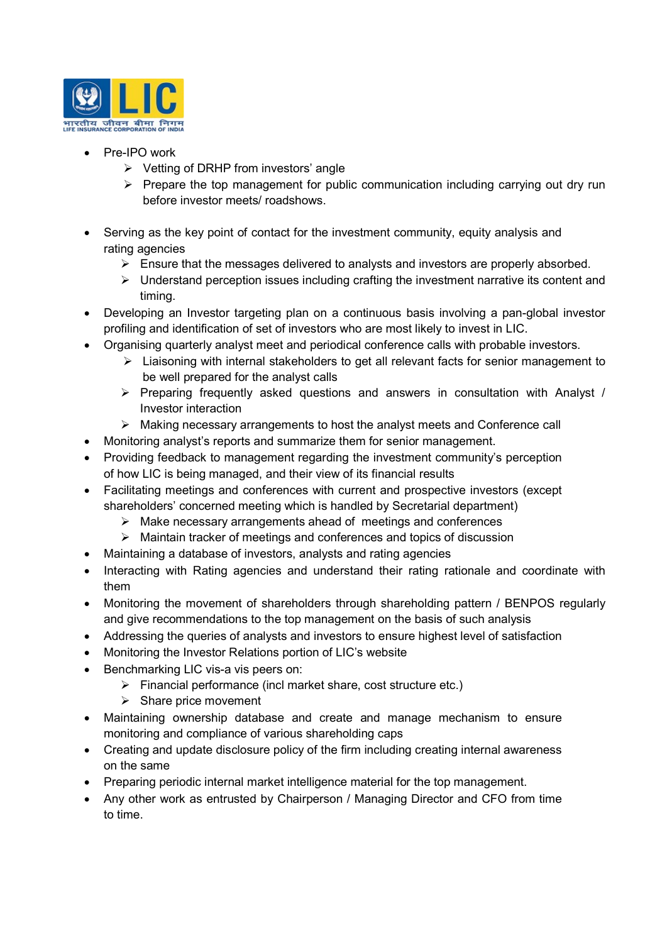

- Pre-IPO work
	- $\triangleright$  Vetting of DRHP from investors' angle
	- $\triangleright$  Prepare the top management for public communication including carrying out dry run before investor meets/ roadshows.
- Serving as the key point of contact for the investment community, equity analysis and rating agencies
	- $\triangleright$  Ensure that the messages delivered to analysts and investors are properly absorbed.
	- $\triangleright$  Understand perception issues including crafting the investment narrative its content and timing.
- Developing an Investor targeting plan on a continuous basis involving a pan-global investor profiling and identification of set of investors who are most likely to invest in LIC.
- Organising quarterly analyst meet and periodical conference calls with probable investors.
	- $\triangleright$  Liaisoning with internal stakeholders to get all relevant facts for senior management to be well prepared for the analyst calls
	- $\triangleright$  Preparing frequently asked questions and answers in consultation with Analyst / Investor interaction
	- $\triangleright$  Making necessary arrangements to host the analyst meets and Conference call
- Monitoring analyst's reports and summarize them for senior management.
- Providing feedback to management regarding the investment community's perception of how LIC is being managed, and their view of its financial results
- Facilitating meetings and conferences with current and prospective investors (except shareholders' concerned meeting which is handled by Secretarial department)
	- $\triangleright$  Make necessary arrangements ahead of meetings and conferences
	- $\triangleright$  Maintain tracker of meetings and conferences and topics of discussion
- Maintaining a database of investors, analysts and rating agencies
- Interacting with Rating agencies and understand their rating rationale and coordinate with them
- Monitoring the movement of shareholders through shareholding pattern / BENPOS regularly and give recommendations to the top management on the basis of such analysis
- Addressing the queries of analysts and investors to ensure highest level of satisfaction
- Monitoring the Investor Relations portion of LIC's website
- Benchmarking LIC vis-a vis peers on:
	- $\triangleright$  Financial performance (incl market share, cost structure etc.)
	- $\triangleright$  Share price movement
- Maintaining ownership database and create and manage mechanism to ensure monitoring and compliance of various shareholding caps
- Creating and update disclosure policy of the firm including creating internal awareness on the same
- Preparing periodic internal market intelligence material for the top management.
- Any other work as entrusted by Chairperson / Managing Director and CFO from time to time.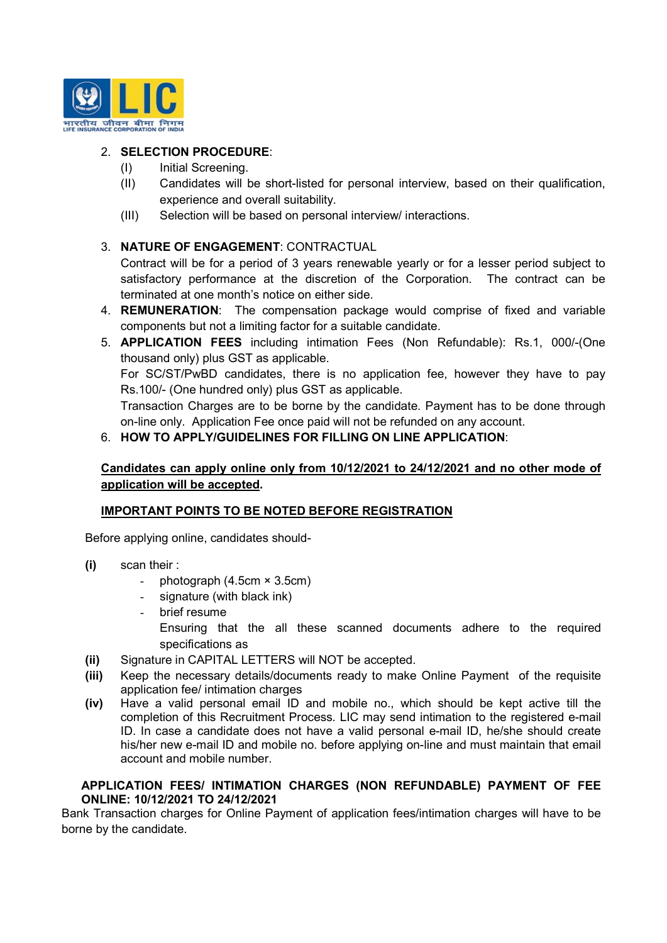

# 2. SELECTION PROCEDURE:

- (I) Initial Screening.
- (II) Candidates will be short-listed for personal interview, based on their qualification, experience and overall suitability.
- (III) Selection will be based on personal interview/ interactions.

# 3. NATURE OF ENGAGEMENT: CONTRACTUAL

Contract will be for a period of 3 years renewable yearly or for a lesser period subject to satisfactory performance at the discretion of the Corporation. The contract can be terminated at one month's notice on either side.

- 4. REMUNERATION: The compensation package would comprise of fixed and variable components but not a limiting factor for a suitable candidate.
- 5. APPLICATION FEES including intimation Fees (Non Refundable): Rs.1, 000/-(One thousand only) plus GST as applicable.

For SC/ST/PwBD candidates, there is no application fee, however they have to pay Rs.100/- (One hundred only) plus GST as applicable.

Transaction Charges are to be borne by the candidate. Payment has to be done through on-line only. Application Fee once paid will not be refunded on any account.

# 6. HOW TO APPLY/GUIDELINES FOR FILLING ON LINE APPLICATION:

# Candidates can apply online only from 10/12/2021 to 24/12/2021 and no other mode of application will be accepted.

## IMPORTANT POINTS TO BE NOTED BEFORE REGISTRATION

Before applying online, candidates should-

- (i) scan their :
	- photograph  $(4.5cm \times 3.5cm)$
	- signature (with black ink)
	- brief resume Ensuring that the all these scanned documents adhere to the required specifications as
- (ii) Signature in CAPITAL LETTERS will NOT be accepted.
- (iii) Keep the necessary details/documents ready to make Online Payment of the requisite application fee/ intimation charges
- (iv) Have a valid personal email ID and mobile no., which should be kept active till the completion of this Recruitment Process. LIC may send intimation to the registered e-mail ID. In case a candidate does not have a valid personal e-mail ID, he/she should create his/her new e-mail ID and mobile no. before applying on-line and must maintain that email account and mobile number.

### APPLICATION FEES/ INTIMATION CHARGES (NON REFUNDABLE) PAYMENT OF FEE ONLINE: 10/12/2021 TO 24/12/2021

Bank Transaction charges for Online Payment of application fees/intimation charges will have to be borne by the candidate.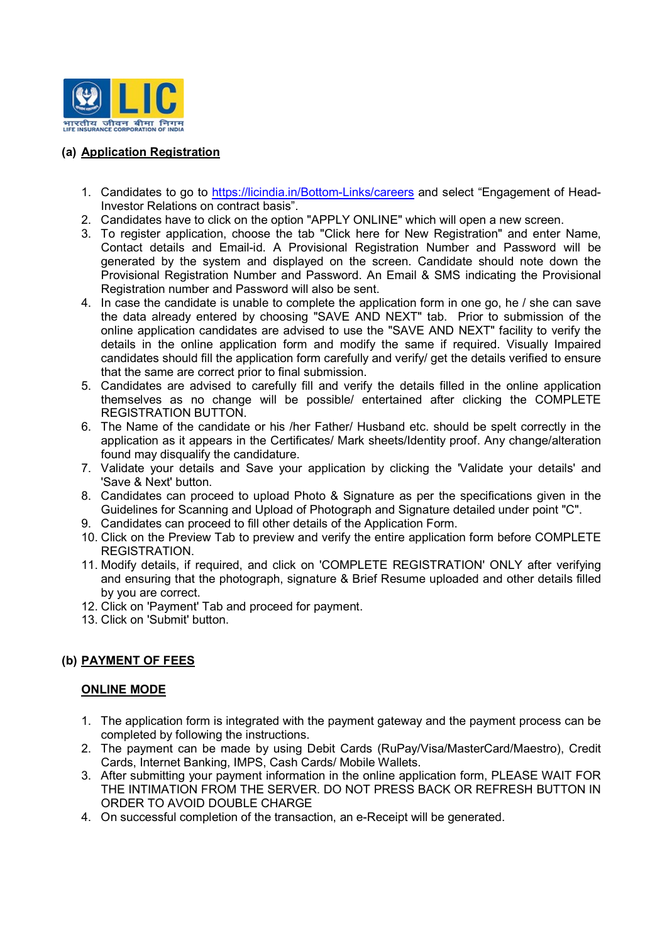

# (a) Application Registration

- 1. Candidates to go to https://licindia.in/Bottom-Links/careers and select "Engagement of Head-Investor Relations on contract basis".
- 2. Candidates have to click on the option "APPLY ONLINE" which will open a new screen.
- 3. To register application, choose the tab "Click here for New Registration" and enter Name, Contact details and Email-id. A Provisional Registration Number and Password will be generated by the system and displayed on the screen. Candidate should note down the Provisional Registration Number and Password. An Email & SMS indicating the Provisional Registration number and Password will also be sent.
- 4. In case the candidate is unable to complete the application form in one go, he / she can save the data already entered by choosing "SAVE AND NEXT" tab. Prior to submission of the online application candidates are advised to use the "SAVE AND NEXT" facility to verify the details in the online application form and modify the same if required. Visually Impaired candidates should fill the application form carefully and verify/ get the details verified to ensure that the same are correct prior to final submission.
- 5. Candidates are advised to carefully fill and verify the details filled in the online application themselves as no change will be possible/ entertained after clicking the COMPLETE REGISTRATION BUTTON.
- 6. The Name of the candidate or his /her Father/ Husband etc. should be spelt correctly in the application as it appears in the Certificates/ Mark sheets/Identity proof. Any change/alteration found may disqualify the candidature.
- 7. Validate your details and Save your application by clicking the 'Validate your details' and 'Save & Next' button.
- 8. Candidates can proceed to upload Photo & Signature as per the specifications given in the Guidelines for Scanning and Upload of Photograph and Signature detailed under point "C".
- 9. Candidates can proceed to fill other details of the Application Form.
- 10. Click on the Preview Tab to preview and verify the entire application form before COMPLETE REGISTRATION.
- 11. Modify details, if required, and click on 'COMPLETE REGISTRATION' ONLY after verifying and ensuring that the photograph, signature & Brief Resume uploaded and other details filled by you are correct.
- 12. Click on 'Payment' Tab and proceed for payment.
- 13. Click on 'Submit' button.

# (b) PAYMENT OF FEES

## ONLINE MODE

- 1. The application form is integrated with the payment gateway and the payment process can be completed by following the instructions.
- 2. The payment can be made by using Debit Cards (RuPay/Visa/MasterCard/Maestro), Credit Cards, Internet Banking, IMPS, Cash Cards/ Mobile Wallets.
- 3. After submitting your payment information in the online application form, PLEASE WAIT FOR THE INTIMATION FROM THE SERVER. DO NOT PRESS BACK OR REFRESH BUTTON IN ORDER TO AVOID DOUBLE CHARGE
- 4. On successful completion of the transaction, an e-Receipt will be generated.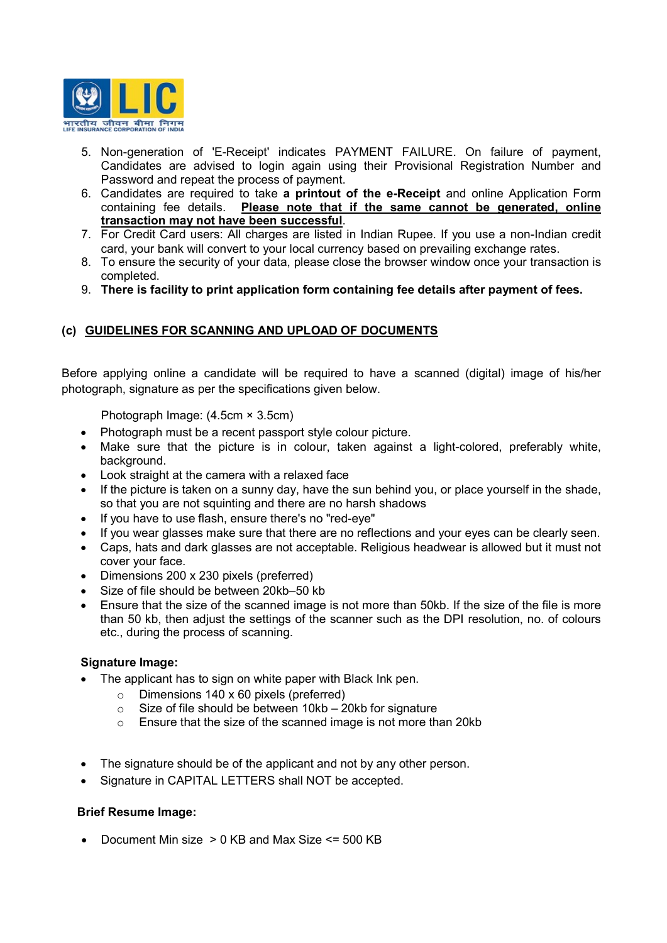

- 5. Non-generation of 'E-Receipt' indicates PAYMENT FAILURE. On failure of payment, Candidates are advised to login again using their Provisional Registration Number and Password and repeat the process of payment.
- 6. Candidates are required to take a printout of the e-Receipt and online Application Form containing fee details. Please note that if the same cannot be generated, online transaction may not have been successful.
- 7. For Credit Card users: All charges are listed in Indian Rupee. If you use a non-Indian credit card, your bank will convert to your local currency based on prevailing exchange rates.
- 8. To ensure the security of your data, please close the browser window once your transaction is completed.
- 9. There is facility to print application form containing fee details after payment of fees.

# (c) GUIDELINES FOR SCANNING AND UPLOAD OF DOCUMENTS

Before applying online a candidate will be required to have a scanned (digital) image of his/her photograph, signature as per the specifications given below.

Photograph Image: (4.5cm × 3.5cm)

- Photograph must be a recent passport style colour picture.
- Make sure that the picture is in colour, taken against a light-colored, preferably white, background.
- Look straight at the camera with a relaxed face
- $\bullet$  If the picture is taken on a sunny day, have the sun behind you, or place yourself in the shade, so that you are not squinting and there are no harsh shadows
- If you have to use flash, ensure there's no "red-eve"
- If you wear glasses make sure that there are no reflections and your eyes can be clearly seen.
- Caps, hats and dark glasses are not acceptable. Religious headwear is allowed but it must not cover your face.
- Dimensions 200 x 230 pixels (preferred)
- Size of file should be between 20kb–50 kb
- Ensure that the size of the scanned image is not more than 50kb. If the size of the file is more than 50 kb, then adjust the settings of the scanner such as the DPI resolution, no. of colours etc., during the process of scanning.

### Signature Image:

- The applicant has to sign on white paper with Black Ink pen.
	- Dimensions 140 x 60 pixels (preferred)<br>○ Size of file should be between 10kh 2
	- Size of file should be between  $10kb 20kb$  for signature
	- o Ensure that the size of the scanned image is not more than 20kb
- The signature should be of the applicant and not by any other person.
- Signature in CAPITAL LETTERS shall NOT be accepted.

## Brief Resume Image:

Document Min size > 0 KB and Max Size <= 500 KB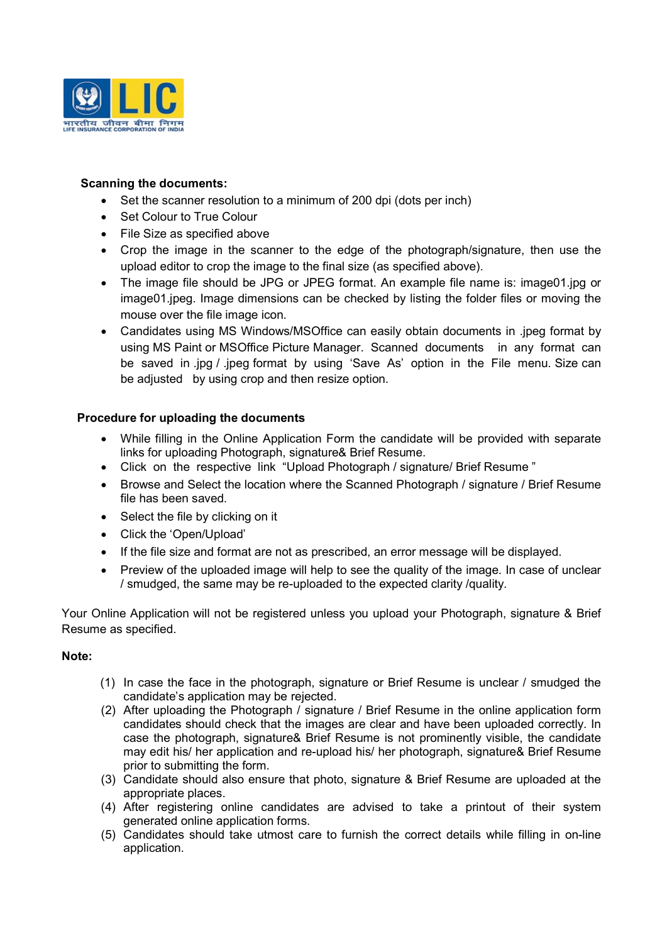

## Scanning the documents:

- Set the scanner resolution to a minimum of 200 dpi (dots per inch)
- Set Colour to True Colour
- File Size as specified above
- Crop the image in the scanner to the edge of the photograph/signature, then use the upload editor to crop the image to the final size (as specified above).
- The image file should be JPG or JPEG format. An example file name is: image01.jpg or image01.jpeg. Image dimensions can be checked by listing the folder files or moving the mouse over the file image icon.
- Candidates using MS Windows/MSOffice can easily obtain documents in .jpeg format by using MS Paint or MSOffice Picture Manager. Scanned documents in any format can be saved in .jpg / .jpeg format by using 'Save As' option in the File menu. Size can be adjusted by using crop and then resize option.

## Procedure for uploading the documents

- While filling in the Online Application Form the candidate will be provided with separate links for uploading Photograph, signature& Brief Resume.
- Click on the respective link "Upload Photograph / signature/ Brief Resume "
- Browse and Select the location where the Scanned Photograph / signature / Brief Resume file has been saved.
- Select the file by clicking on it
- Click the 'Open/Upload'
- If the file size and format are not as prescribed, an error message will be displayed.
- Preview of the uploaded image will help to see the quality of the image. In case of unclear / smudged, the same may be re-uploaded to the expected clarity /quality.

Your Online Application will not be registered unless you upload your Photograph, signature & Brief Resume as specified.

## Note:

- (1) In case the face in the photograph, signature or Brief Resume is unclear / smudged the candidate's application may be rejected.
- (2) After uploading the Photograph / signature / Brief Resume in the online application form candidates should check that the images are clear and have been uploaded correctly. In case the photograph, signature& Brief Resume is not prominently visible, the candidate may edit his/ her application and re-upload his/ her photograph, signature& Brief Resume prior to submitting the form.
- (3) Candidate should also ensure that photo, signature & Brief Resume are uploaded at the appropriate places.
- (4) After registering online candidates are advised to take a printout of their system generated online application forms.
- (5) Candidates should take utmost care to furnish the correct details while filling in on-line application.